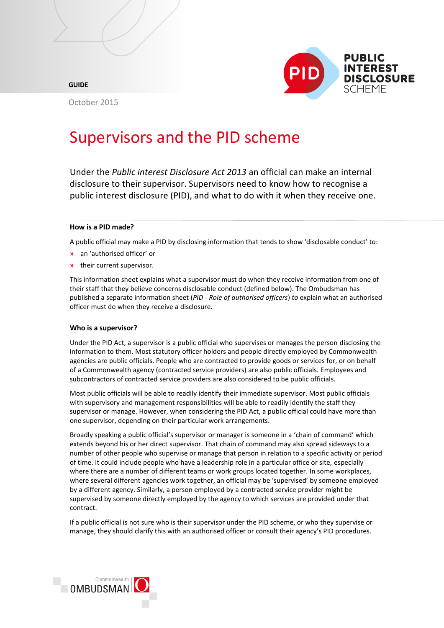

**GUIDE**

October 2015

# Supervisors and the PID scheme

Under the *Public interest Disclosure Act 2013* an official can make an internal disclosure to their supervisor. Supervisors need to know how to recognise a public interest disclosure (PID), and what to do with it when they receive one.

## **How is a PID made?**

A public official may make a PID by disclosing information that tends to show 'disclosable conduct' to:

- **»** an 'authorised officer' or
- **»** their current supervisor.

This information sheet explains what a supervisor must do when they receive information from one of their staff that they believe concerns disclosable conduct (defined below). The Ombudsman has published a separate information sheet (*PID - [Role of authorised officers](http://www.ombudsman.gov.au/docs/Role_of_authorised_officers.pdf)*) *to* explain what an authorised officer must do when they receive a disclosure.

## **Who is a supervisor?**

Under the PID Act, a supervisor is a public official who supervises or manages the person disclosing the information to them. Most statutory officer holders and people directly employed by Commonwealth agencies are public officials. People who are contracted to provide goods or services for, or on behalf of a Commonwealth agency (contracted service providers) are also public officials. Employees and subcontractors of contracted service providers are also considered to be public officials.

Most public officials will be able to readily identify their immediate supervisor. Most public officials with supervisory and management responsibilities will be able to readily identify the staff they supervisor or manage. However, when considering the PID Act, a public official could have more than one supervisor, depending on their particular work arrangements.

Broadly speaking a public official's supervisor or manager is someone in a 'chain of command' which extends beyond his or her direct supervisor. That chain of command may also spread sideways to a number of other people who supervise or manage that person in relation to a specific activity or period of time. It could include people who have a leadership role in a particular office or site, especially where there are a number of different teams or work groups located together. In some workplaces, where several different agencies work together, an official may be 'supervised' by someone employed by a different agency. Similarly, a person employed by a contracted service provider might be supervised by someone directly employed by the agency to which services are provided under that contract.

If a public official is not sure who is their supervisor under the PID scheme, or who they supervise or manage, they should clarify this with an authorised officer or consult their agency's PID procedures.

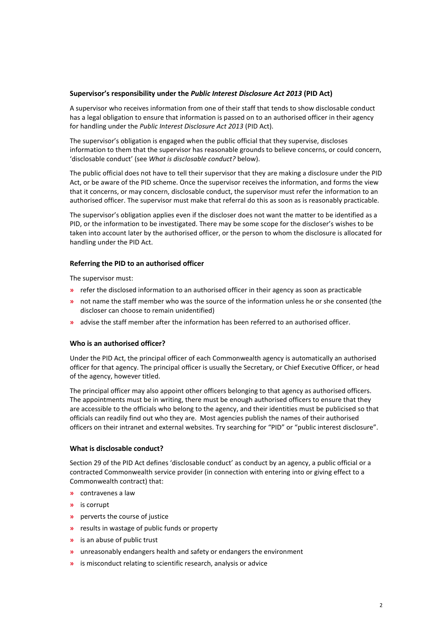#### **Supervisor's responsibility under the** *Public Interest Disclosure Act 2013* **(PID Act)**

A supervisor who receives information from one of their staff that tends to show disclosable conduct has a legal obligation to ensure that information is passed on to an authorised officer in their agency for handling under the *Public Interest Disclosure Act 2013* (PID Act).

The supervisor's obligation is engaged when the public official that they supervise, discloses information to them that the supervisor has reasonable grounds to believe concerns, or could concern, 'disclosable conduct' (see *What is disclosable conduct?* below).

The public official does not have to tell their supervisor that they are making a disclosure under the PID Act, or be aware of the PID scheme. Once the supervisor receives the information, and forms the view that it concerns, or may concern, disclosable conduct, the supervisor must refer the information to an authorised officer. The supervisor must make that referral do this as soon as is reasonably practicable.

The supervisor's obligation applies even if the discloser does not want the matter to be identified as a PID, or the information to be investigated. There may be some scope for the discloser's wishes to be taken into account later by the authorised officer, or the person to whom the disclosure is allocated for handling under the PID Act.

## **Referring the PID to an authorised officer**

The supervisor must:

- **»** refer the disclosed information to an authorised officer in their agency as soon as practicable
- **»** not name the staff member who was the source of the information unless he or she consented (the discloser can choose to remain unidentified)
- **»** advise the staff member after the information has been referred to an authorised officer.

## **Who is an authorised officer?**

Under the PID Act, the principal officer of each Commonwealth agency is automatically an authorised officer for that agency. The principal officer is usually the Secretary, or Chief Executive Officer, or head of the agency, however titled.

The principal officer may also appoint other officers belonging to that agency as authorised officers. The appointments must be in writing, there must be enough authorised officers to ensure that they are accessible to the officials who belong to the agency, and their identities must be publicised so that officials can readily find out who they are. Most agencies publish the names of their authorised officers on their intranet and external websites. Try searching for "PID" or "public interest disclosure".

## **What is disclosable conduct?**

Section 29 of the PID Act defines 'disclosable conduct' as conduct by an agency, a public official or a contracted Commonwealth service provider (in connection with entering into or giving effect to a Commonwealth contract) that:

- **»** contravenes a law
- **»** is corrupt
- **»** perverts the course of justice
- **»** results in wastage of public funds or property
- **»** is an abuse of public trust
- **»** unreasonably endangers health and safety or endangers the environment
- **»** is misconduct relating to scientific research, analysis or advice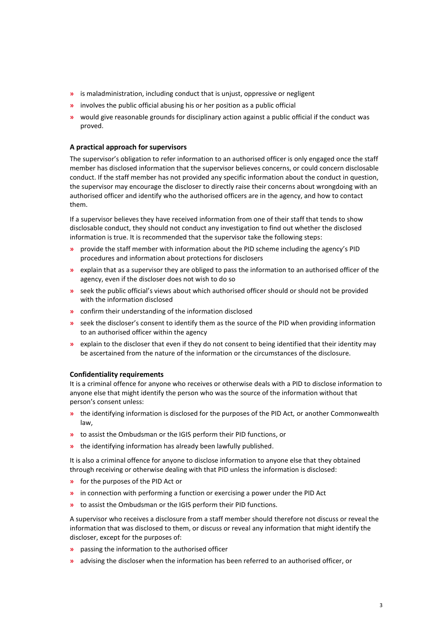- **»** is maladministration, including conduct that is unjust, oppressive or negligent
- **»** involves the public official abusing his or her position as a public official
- **»** would give reasonable grounds for disciplinary action against a public official if the conduct was proved.

#### **A practical approach for supervisors**

The supervisor's obligation to refer information to an authorised officer is only engaged once the staff member has disclosed information that the supervisor believes concerns, or could concern disclosable conduct. If the staff member has not provided any specific information about the conduct in question, the supervisor may encourage the discloser to directly raise their concerns about wrongdoing with an authorised officer and identify who the authorised officers are in the agency, and how to contact them.

If a supervisor believes they have received information from one of their staff that tends to show disclosable conduct, they should not conduct any investigation to find out whether the disclosed information is true. It is recommended that the supervisor take the following steps:

- **»** provide the staff member with information about the PID scheme including the agency's PID procedures and information about protections for disclosers
- **»** explain that as a supervisor they are obliged to pass the information to an authorised officer of the agency, even if the discloser does not wish to do so
- **»** seek the public official's views about which authorised officer should or should not be provided with the information disclosed
- **»** confirm their understanding of the information disclosed
- **»** seek the discloser's consent to identify them as the source of the PID when providing information to an authorised officer within the agency
- **»** explain to the discloser that even if they do not consent to being identified that their identity may be ascertained from the nature of the information or the circumstances of the disclosure.

#### **Confidentiality requirements**

It is a criminal offence for anyone who receives or otherwise deals with a PID to disclose information to anyone else that might identify the person who was the source of the information without that person's consent unless:

- **»** the identifying information is disclosed for the purposes of the PID Act, or another Commonwealth law,
- **»** to assist the Ombudsman or the IGIS perform their PID functions, or
- **»** the identifying information has already been lawfully published.

It is also a criminal offence for anyone to disclose information to anyone else that they obtained through receiving or otherwise dealing with that PID unless the information is disclosed:

- **»** for the purposes of the PID Act or
- **»** in connection with performing a function or exercising a power under the PID Act
- **»** to assist the Ombudsman or the IGIS perform their PID functions.

A supervisor who receives a disclosure from a staff member should therefore not discuss or reveal the information that was disclosed to them, or discuss or reveal any information that might identify the discloser, except for the purposes of:

- **»** passing the information to the authorised officer
- **»** advising the discloser when the information has been referred to an authorised officer, or